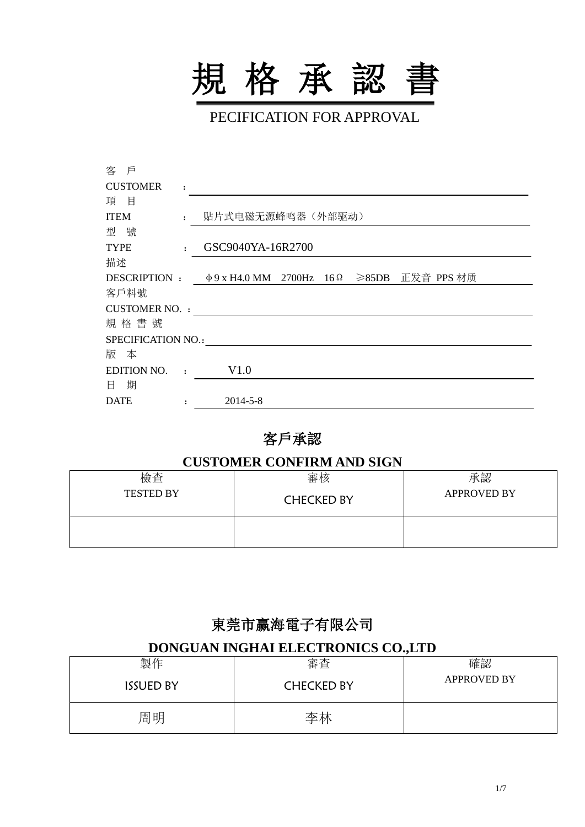

PECIFICATION FOR APPROVAL

| 客 戶                  |                      |                                                       |  |  |
|----------------------|----------------------|-------------------------------------------------------|--|--|
| <b>CUSTOMER</b>      | $\ddot{\cdot}$       |                                                       |  |  |
| 項目                   |                      |                                                       |  |  |
| <b>ITEM</b>          | $\mathbf{r}$         | 贴片式电磁无源蜂鸣器(外部驱动)                                      |  |  |
| 型號                   |                      |                                                       |  |  |
| <b>TYPE</b>          | $\ddot{\phantom{a}}$ | GSC9040YA-16R2700                                     |  |  |
| 描述                   |                      |                                                       |  |  |
|                      |                      | DESCRIPTION: Φ9 x H4.0 MM 2700Hz 16Ω ≥85DB 正发音 PPS 材质 |  |  |
| 客戶料號                 |                      |                                                       |  |  |
| <b>CUSTOMER NO.:</b> |                      |                                                       |  |  |
| 規格書號                 |                      |                                                       |  |  |
| SPECIFICATION NO.:   |                      |                                                       |  |  |
| 版 本                  |                      |                                                       |  |  |
| EDITION NO.          | $\mathbf{r}$         | V1.0                                                  |  |  |
| 日期                   |                      |                                                       |  |  |
| <b>DATE</b>          |                      | $2014 - 5 - 8$                                        |  |  |
|                      |                      |                                                       |  |  |

## 客戶承認

#### **CUSTOMER CONFIRM AND SIGN**

| 檢查               | 審核                | 承認                 |
|------------------|-------------------|--------------------|
| <b>TESTED BY</b> | <b>CHECKED BY</b> | <b>APPROVED BY</b> |
|                  |                   |                    |

# 東莞市赢海電子有限公司

#### **DONGUAN INGHAI ELECTRONICS CO.,LTD**

| 製作               | 審査                | 確認                 |
|------------------|-------------------|--------------------|
| <b>ISSUED BY</b> | <b>CHECKED BY</b> | <b>APPROVED BY</b> |
| 周明               | 李林                |                    |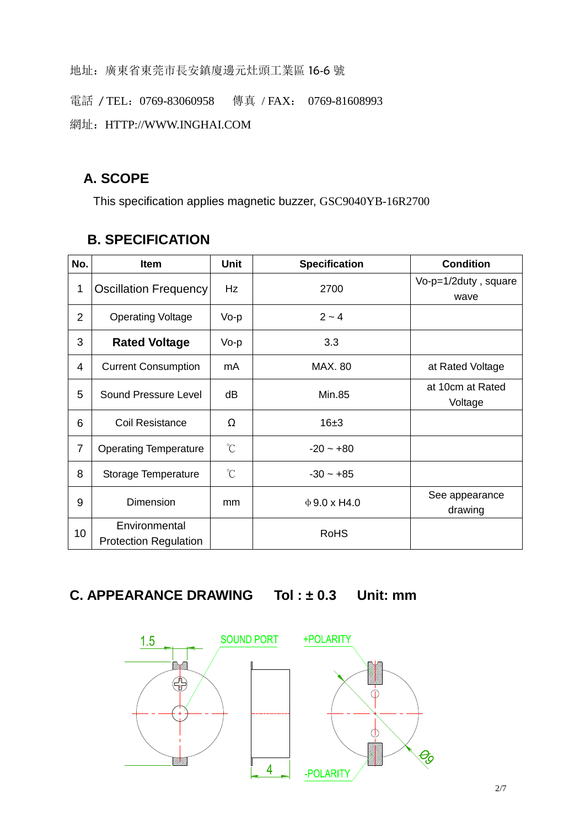地址:廣東省東莞市長安鎮廈邊元灶頭工業區 16-6 號

電話 / TEL: 0769-83060958 傳真 / FAX: 0769-81608993

網址: HTTP://WWW.INGHAI.COM

### **A. SCOPE**

This specification applies magnetic buzzer, GSC9040YB-16R2700

| No.            | <b>Item</b>                                   | <b>Unit</b>          | <b>Specification</b> | <b>Condition</b>             |
|----------------|-----------------------------------------------|----------------------|----------------------|------------------------------|
| 1              | <b>Oscillation Frequency</b>                  | Hz                   | 2700                 | Vo-p=1/2duty, square<br>wave |
| $\overline{2}$ | <b>Operating Voltage</b>                      | Vo-p                 | $2 - 4$              |                              |
| 3              | <b>Rated Voltage</b>                          | Vo-p                 | 3.3                  |                              |
| 4              | <b>Current Consumption</b>                    | mA                   | <b>MAX. 80</b>       | at Rated Voltage             |
| 5              | Sound Pressure Level                          | dB                   | <b>Min.85</b>        | at 10cm at Rated<br>Voltage  |
| 6              | Coil Resistance                               | Ω                    | 16±3                 |                              |
| $\overline{7}$ | <b>Operating Temperature</b>                  | $\mathrm{C}^{\circ}$ | $-20 - +80$          |                              |
| 8              | Storage Temperature                           | $\mathrm{C}^{\circ}$ | $-30 - +85$          |                              |
| 9              | Dimension                                     | mm                   | $\Phi$ 9.0 x H4.0    | See appearance<br>drawing    |
| 10             | Environmental<br><b>Protection Regulation</b> |                      | <b>RoHS</b>          |                              |

#### **B. SPECIFICATION**

# **C. APPEARANCE DRAWING Tol : ± 0.3 Unit: mm**

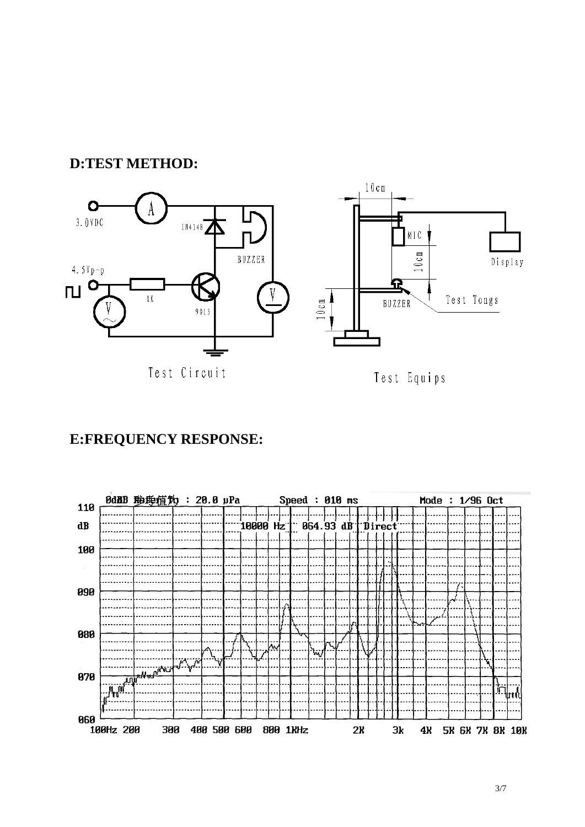#### **D:TEST METHOD:**



Test Circuit

Test Equips

## **E:FREQUENCY RESPONSE:**

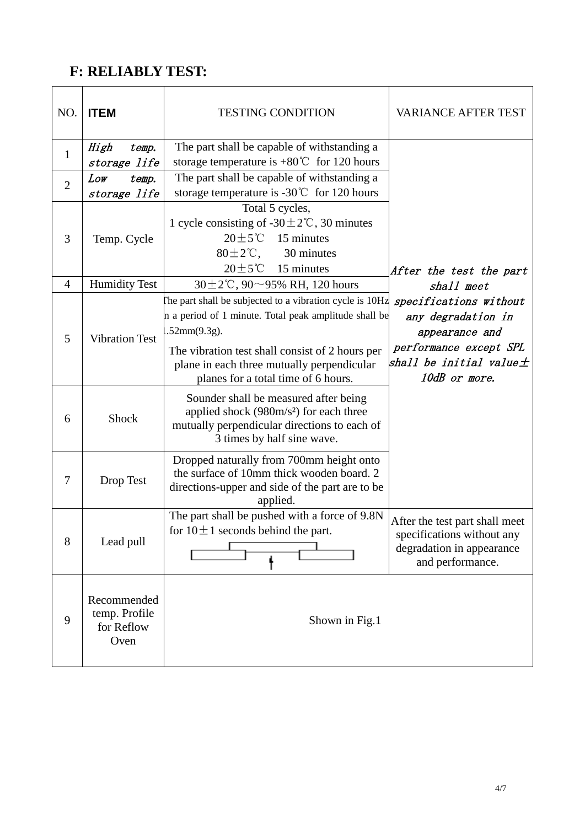## **F: RELIABLY TEST:**

| NO.            | <b>ITEM</b>                                        | <b>TESTING CONDITION</b>                                                                                                                                                                                                                                                  | <b>VARIANCE AFTER TEST</b>                                                                                                                |
|----------------|----------------------------------------------------|---------------------------------------------------------------------------------------------------------------------------------------------------------------------------------------------------------------------------------------------------------------------------|-------------------------------------------------------------------------------------------------------------------------------------------|
| $\mathbf{1}$   | High<br>temp.<br>storage life                      | The part shall be capable of withstanding a<br>storage temperature is $+80^{\circ}$ C for 120 hours                                                                                                                                                                       |                                                                                                                                           |
| $\overline{2}$ | Low<br>temp.<br>storage life                       | The part shall be capable of withstanding a<br>storage temperature is -30 $\degree$ C for 120 hours                                                                                                                                                                       |                                                                                                                                           |
| 3              | Temp. Cycle                                        | Total 5 cycles,<br>1 cycle consisting of -30 $\pm$ 2°C, 30 minutes<br>$20 \pm 5^{\circ}$ C<br>15 minutes<br>$80 \pm 2^{\circ}$ C,<br>30 minutes<br>$20 \pm 5^{\circ}$ (C 15 minutes                                                                                       | After the test the part                                                                                                                   |
| $\overline{4}$ | <b>Humidity Test</b>                               | 30 $\pm$ 2°C, 90 $\sim$ 95% RH, 120 hours                                                                                                                                                                                                                                 | shall meet                                                                                                                                |
| 5              | <b>Vibration Test</b>                              | The part shall be subjected to a vibration cycle is 10Hz<br>n a period of 1 minute. Total peak amplitude shall be<br>.52mm(9.3g).<br>The vibration test shall consist of 2 hours per<br>plane in each three mutually perpendicular<br>planes for a total time of 6 hours. | specifications without<br>any degradation in<br>appearance and<br>performance except SPL<br>shall be initial value $\pm$<br>10dB or more. |
| 6              | <b>Shock</b>                                       | Sounder shall be measured after being<br>applied shock $(980m/s)$ for each three<br>mutually perpendicular directions to each of<br>3 times by half sine wave.                                                                                                            |                                                                                                                                           |
| 7              | Drop Test                                          | Dropped naturally from 700mm height onto<br>the surface of 10mm thick wooden board. 2<br>directions-upper and side of the part are to be<br>applied.                                                                                                                      |                                                                                                                                           |
| 8              | Lead pull                                          | The part shall be pushed with a force of 9.8N<br>for $10 \pm 1$ seconds behind the part.                                                                                                                                                                                  | After the test part shall meet<br>specifications without any<br>degradation in appearance<br>and performance.                             |
| 9              | Recommended<br>temp. Profile<br>for Reflow<br>Oven | Shown in Fig.1                                                                                                                                                                                                                                                            |                                                                                                                                           |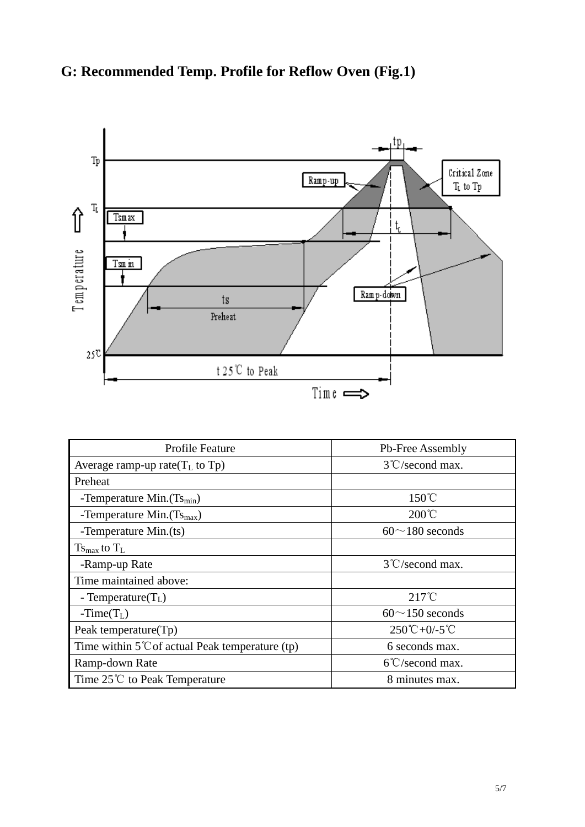# **G: Recommended Temp. Profile for Reflow Oven (Fig.1)**



| <b>Profile Feature</b>                                    | Pb-Free Assembly                              |
|-----------------------------------------------------------|-----------------------------------------------|
| Average ramp-up rate $(T_L$ to Tp)                        | $3^{\circ}$ C/second max.                     |
| Preheat                                                   |                                               |
| -Temperature Min. $(Ts_{min})$                            | $150^{\circ}$ C                               |
| -Temperature Min. $(Ts_{max})$                            | $200^{\circ}$ C                               |
| -Temperature Min.(ts)                                     | $60^{\sim}180$ seconds                        |
| $T_{\rm Smax}$ to $T_{\rm L}$                             |                                               |
| -Ramp-up Rate                                             | $3^{\circ}$ C/second max.                     |
| Time maintained above:                                    |                                               |
| - Temperature $(T_L)$                                     | $217^{\circ}$ C                               |
| $-Time(TL)$                                               | $60^{\sim}150$ seconds                        |
| Peak temperature $(Tp)$                                   | $250^{\circ}\text{C} + 0/ -5^{\circ}\text{C}$ |
| Time within $5^{\circ}$ C of actual Peak temperature (tp) | 6 seconds max.                                |
| Ramp-down Rate                                            | $6^{\circ}$ C/second max.                     |
| Time $25^{\circ}$ to Peak Temperature                     | 8 minutes max.                                |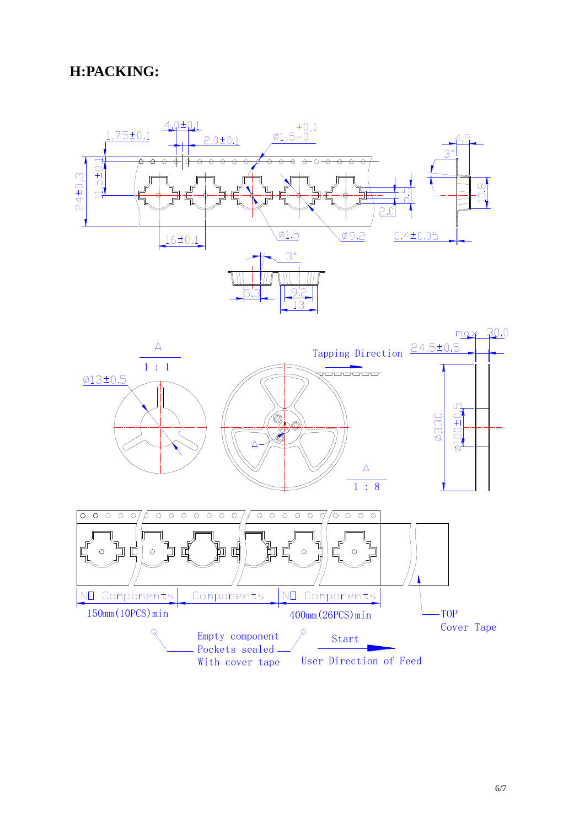### **H:PACKING:**





With cover tape User Direction of Feed